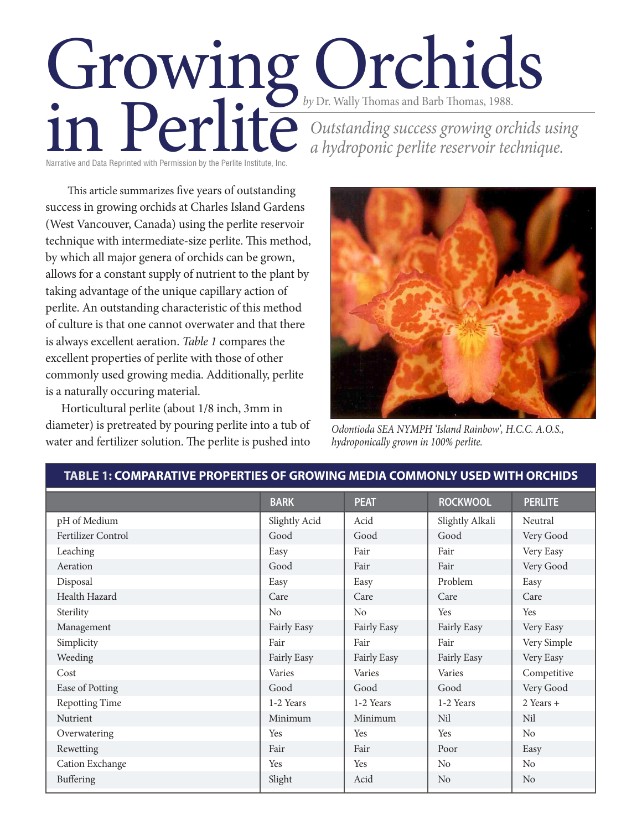# Growing Orchids by Dr. Wally Thomas and Barb Thomas, 1988.<br>Dutstanding success growing orce a hydroponic perlite reservoir ted<br>Narrative and Data Reprinted with Permission by the Perlite Institute, Inc. *Outstanding success growing orchids using a hydroponic perlite reservoir technique.*

Narrative and Data Reprinted with Permission by the Perlite Institute, Inc.

This article summarizes five years of outstanding success in growing orchids at Charles Island Gardens (West Vancouver, Canada) using the perlite reservoir technique with intermediate-size perlite. This method, by which all major genera of orchids can be grown, allows for a constant supply of nutrient to the plant by taking advantage of the unique capillary action of perlite. An outstanding characteristic of this method of culture is that one cannot overwater and that there is always excellent aeration. *Table 1* compares the excellent properties of perlite with those of other commonly used growing media. Additionally, perlite is a naturally occuring material.

Horticultural perlite (about 1/8 inch, 3mm in diameter) is pretreated by pouring perlite into a tub of water and fertilizer solution. The perlite is pushed into



*Odontioda SEA NYMPH 'Island Rainbow', H.C.C. A.O.S., hydroponically grown in 100% perlite.*

|                       | <b>BARK</b>    | <b>PEAT</b>    | <b>ROCKWOOL</b> | <b>PERLITE</b> |
|-----------------------|----------------|----------------|-----------------|----------------|
| pH of Medium          | Slightly Acid  | Acid           | Slightly Alkali | Neutral        |
| Fertilizer Control    | Good           | Good           | Good            | Very Good      |
| Leaching              | Easy           | Fair           | Fair            | Very Easy      |
| Aeration              | Good           | Fair           | Fair            | Very Good      |
| Disposal              | Easy           | Easy           | Problem         | Easy           |
| Health Hazard         | Care           | Care           | Care            | Care           |
| Sterility             | N <sub>o</sub> | N <sub>o</sub> | Yes             | Yes            |
| Management            | Fairly Easy    | Fairly Easy    | Fairly Easy     | Very Easy      |
| Simplicity            | Fair           | Fair           | Fair            | Very Simple    |
| Weeding               | Fairly Easy    | Fairly Easy    | Fairly Easy     | Very Easy      |
| Cost                  | Varies         | Varies         | Varies          | Competitive    |
| Ease of Potting       | Good           | Good           | Good            | Very Good      |
| <b>Repotting Time</b> | 1-2 Years      | 1-2 Years      | 1-2 Years       | $2$ Years +    |
| Nutrient              | Minimum        | Minimum        | Nil             | Nil            |
| Overwatering          | Yes            | Yes            | Yes             | No             |
| Rewetting             | Fair           | Fair           | Poor            | Easy           |
| Cation Exchange       | Yes            | Yes            | No              | No             |
| Buffering             | Slight         | Acid           | N <sub>o</sub>  | No             |

**TABLE 1: COMPARATIVE PROPERTIES OF GROWING MEDIA COMMONLY USED WITH ORCHIDS**